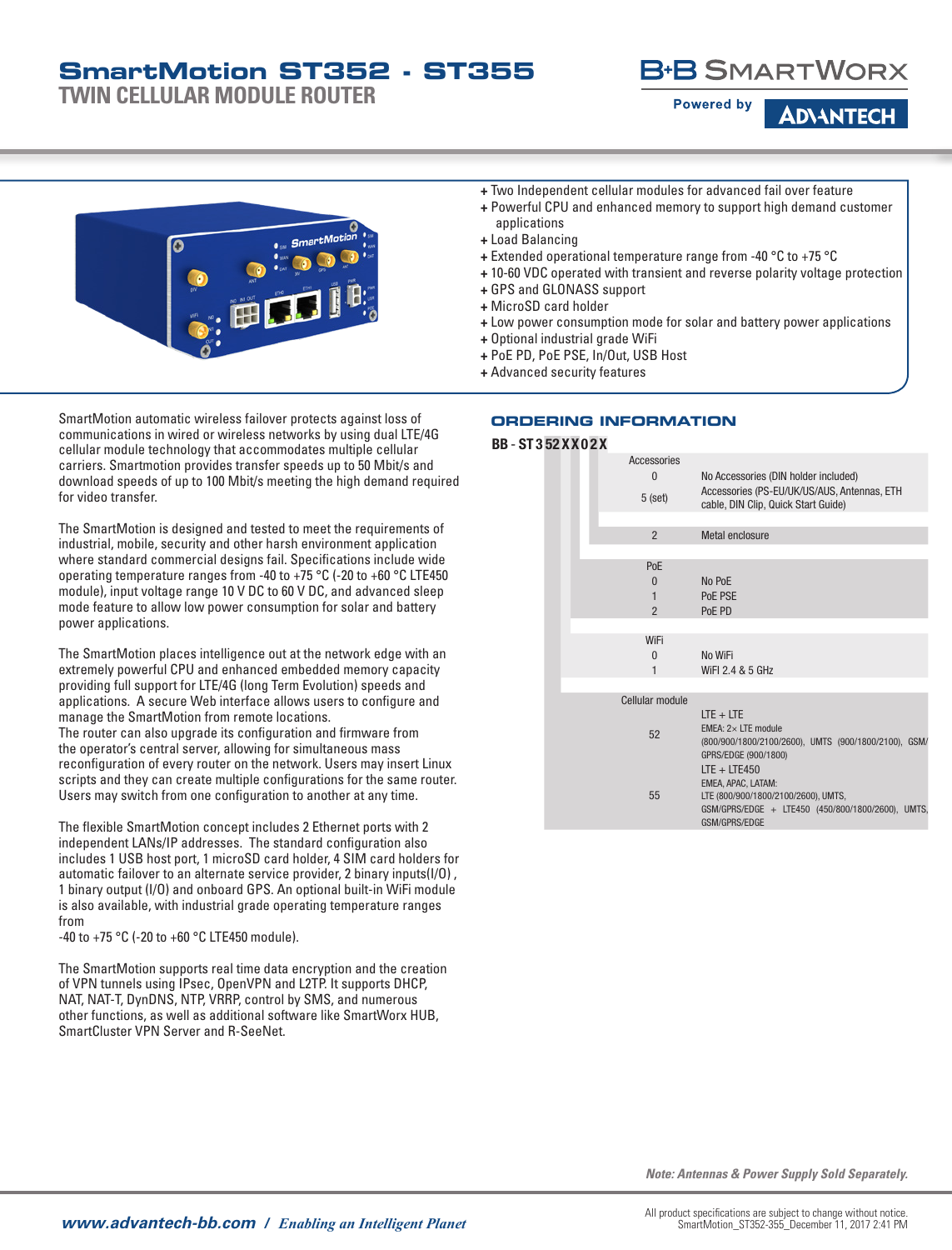**TWIN CELLULAR MODULE ROUTER**



**ADVANTEC** 

- **+** Powerful CPU and enhanced memory to support high demand customer applications
- **+** Load Balancing
- **+** Extended operational temperature range from -40 °C to +75 °C
- **+** 10-60 VDC operated with transient and reverse polarity voltage protection
- **+** GPS and GLONASS support
- **+** MicroSD card holder
- **+** Low power consumption mode for solar and battery power applications
- **+** Optional industrial grade WiFi
- **+** PoE PD, PoE PSE, In/Out, USB Host
- **+** Advanced security features

SmartMotion automatic wireless failover protects against loss of communications in wired or wireless networks by using dual LTE/4G cellular module technology that accommodates multiple cellular carriers. Smartmotion provides transfer speeds up to 50 Mbit/s and download speeds of up to 100 Mbit/s meeting the high demand required for video transfer.

The SmartMotion is designed and tested to meet the requirements of industrial, mobile, security and other harsh environment application where standard commercial designs fail. Specifications include wide operating temperature ranges from -40 to +75 °C (-20 to +60 °C LTE450 module), input voltage range 10 V DC to 60 V DC, and advanced sleep mode feature to allow low power consumption for solar and battery power applications.

The SmartMotion places intelligence out at the network edge with an extremely powerful CPU and enhanced embedded memory capacity providing full support for LTE/4G (long Term Evolution) speeds and applications. A secure Web interface allows users to configure and manage the SmartMotion from remote locations. The router can also upgrade its configuration and firmware from the operator's central server, allowing for simultaneous mass reconfiguration of every router on the network. Users may insert Linux scripts and they can create multiple configurations for the same router.

Users may switch from one configuration to another at any time.

The flexible SmartMotion concept includes 2 Ethernet ports with 2 independent LANs/IP addresses. The standard configuration also includes 1 USB host port, 1 microSD card holder, 4 SIM card holders for automatic failover to an alternate service provider, 2 binary inputs(I/O) , 1 binary output (I/O) and onboard GPS. An optional built-in WiFi module is also available, with industrial grade operating temperature ranges

-40 to +75 °C (-20 to +60 °C LTE450 module).

The SmartMotion supports real time data encryption and the creation of VPN tunnels using IPsec, OpenVPN and L2TP. It supports DHCP, NAT, NAT-T, DynDNS, NTP, VRRP, control by SMS, and numerous other functions, as well as additional software like SmartWorx HUB, SmartCluster VPN Server and R-SeeNet.

#### **ORDERING INFORMATION**

#### BB - ST 3 52 XX0 2X

|  | Accessories<br>$\Omega$<br>$5$ (set)   | No Accessories (DIN holder included)<br>Accessories (PS-EU/UK/US/AUS, Antennas, ETH<br>cable, DIN Clip, Quick Start Guide)                        |
|--|----------------------------------------|---------------------------------------------------------------------------------------------------------------------------------------------------|
|  | $\overline{2}$                         | Metal enclosure                                                                                                                                   |
|  | PoE<br>$\Omega$<br>1<br>$\overline{2}$ | No PoE<br>PoE PSE<br>PoE PD                                                                                                                       |
|  | WiFi<br>$\Omega$<br>1                  | No WiFi<br>WiFI 2.4 & 5 GHz                                                                                                                       |
|  | Cellular module<br>52                  | $ITF + ITF$<br>EMEA: $2 \times$ LTE module<br>(800/900/1800/2100/2600), UMTS (900/1800/2100), GSM/<br>GPRS/EDGE (900/1800)                        |
|  | 55                                     | $LTE + LTE450$<br>EMEA, APAC, LATAM:<br>LTE (800/900/1800/2100/2600), UMTS,<br>GSM/GPRS/EDGE + LTE450 (450/800/1800/2600), UMTS,<br>GSM/GPRS/EDGE |

*Note: Antennas & Power Supply Sold Separately.*





### **B+B SMARTWORX**

**Powered by**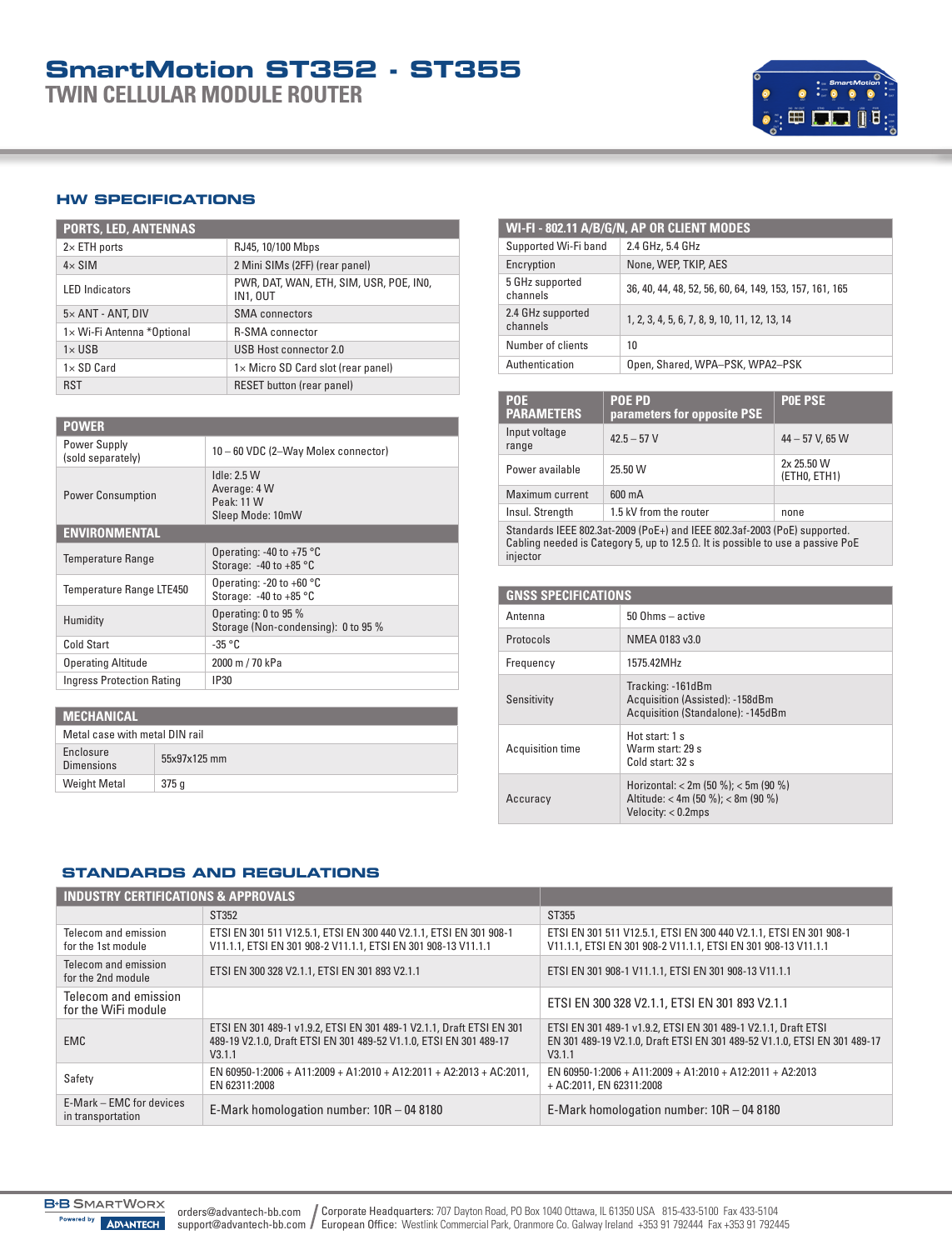**TWIN CELLULAR MODULE ROUTER**



#### **HW SPECIFICATIONS**

| <b>PORTS, LED, ANTENNAS</b> |                                                            |  |  |  |
|-----------------------------|------------------------------------------------------------|--|--|--|
| $2\times$ ETH ports         | RJ45, 10/100 Mbps                                          |  |  |  |
| $4\times$ SIM               | 2 Mini SIMs (2FF) (rear panel)                             |  |  |  |
| <b>LED</b> Indicators       | PWR, DAT, WAN, ETH, SIM, USR, POE, INO,<br><b>IN1, OUT</b> |  |  |  |
| $5\times$ ANT - ANT, DIV    | <b>SMA</b> connectors                                      |  |  |  |
| 1× Wi-Fi Antenna *Optional  | <b>R-SMA</b> connector                                     |  |  |  |
| $1\times$ USB               | USB Host connector 2.0                                     |  |  |  |
| $1\times$ SD Card           | 1× Micro SD Card slot (rear panel)                         |  |  |  |
| <b>RST</b>                  | <b>RESET button (rear panel)</b>                           |  |  |  |

| <b>POWER</b>                      |                                                                  |  |  |  |
|-----------------------------------|------------------------------------------------------------------|--|--|--|
| Power Supply<br>(sold separately) | 10 - 60 VDC (2-Way Molex connector)                              |  |  |  |
| <b>Power Consumption</b>          | Idle: 2.5 W<br>Average: 4 W<br>Peak: 11 W<br>Sleep Mode: 10mW    |  |  |  |
| <b>ENVIRONMENTAL</b>              |                                                                  |  |  |  |
| <b>Temperature Range</b>          | Operating: -40 to +75 $\degree$ C<br>Storage: $-40$ to $+85$ °C  |  |  |  |
| Temperature Range LTE450          | Operating: -20 to +60 $^{\circ}$ C<br>Storage: $-40$ to $+85$ °C |  |  |  |
| Humidity                          | Operating: 0 to 95 %<br>Storage (Non-condensing): 0 to 95 %      |  |  |  |
| Cold Start                        | $-35 °C$                                                         |  |  |  |
| <b>Operating Altitude</b>         | 2000 m / 70 kPa                                                  |  |  |  |
| <b>Ingress Protection Rating</b>  | <b>IP30</b>                                                      |  |  |  |

|  |  | <b>MECHANICAL</b> |
|--|--|-------------------|
|  |  |                   |
|  |  |                   |

| Metal case with metal DIN rail |              |  |  |
|--------------------------------|--------------|--|--|
| Enclosure<br><b>Dimensions</b> | 55x97x125 mm |  |  |
| <b>Weight Metal</b>            | 375q         |  |  |

| WI-FI - 802.11 A/B/G/N, AP OR CLIENT MODES |                                                         |  |  |  |
|--------------------------------------------|---------------------------------------------------------|--|--|--|
| Supported Wi-Fi band                       | 2.4 GHz, 5.4 GHz                                        |  |  |  |
| None, WEP, TKIP, AES<br>Encryption         |                                                         |  |  |  |
| 5 GHz supported<br>channels                | 36, 40, 44, 48, 52, 56, 60, 64, 149, 153, 157, 161, 165 |  |  |  |
| 2.4 GHz supported<br>channels              | 1, 2, 3, 4, 5, 6, 7, 8, 9, 10, 11, 12, 13, 14           |  |  |  |
| Number of clients                          | 10                                                      |  |  |  |
| Authentication                             | Open, Shared, WPA-PSK, WPA2-PSK                         |  |  |  |

| <b>POE</b><br><b>PARAMETERS</b>                                                                                                                                                  | <b>POE PD</b><br>parameters for opposite PSE | <b>POE PSE</b>             |  |
|----------------------------------------------------------------------------------------------------------------------------------------------------------------------------------|----------------------------------------------|----------------------------|--|
| Input voltage<br>range                                                                                                                                                           | $42.5 - 57V$                                 | $44 - 57$ V, 65 W          |  |
| Power available                                                                                                                                                                  | 25.50 W                                      | 2x 25.50 W<br>(ETHO, ETH1) |  |
| Maximum current                                                                                                                                                                  | 600 mA                                       |                            |  |
| Insul. Strength                                                                                                                                                                  | 1.5 kV from the router                       | none                       |  |
| Standards IEEE 802.3at-2009 (PoE+) and IEEE 802.3af-2003 (PoE) supported.<br>Cabling needed is Category 5, up to 12.5 $\Omega$ . It is possible to use a passive PoE<br>injector |                                              |                            |  |

| <b>GNSS SPECIFICATIONS</b> |                                                                                                  |  |  |  |
|----------------------------|--------------------------------------------------------------------------------------------------|--|--|--|
| Antenna                    | $50$ Ohms $-$ active                                                                             |  |  |  |
| Protocols                  | NMEA 0183 v3.0                                                                                   |  |  |  |
| Frequency                  | 1575.42MHz                                                                                       |  |  |  |
| Sensitivity                | Tracking: -161dBm<br>Acquisition (Assisted): -158dBm<br>Acquisition (Standalone): -145dBm        |  |  |  |
| Acquisition time           | Hot start 1 s<br>Warm start: 29 s<br>Cold start: 32 s                                            |  |  |  |
| Accuracy                   | Horizontal: < 2m (50 %); < 5m (90 %)<br>Altitude: < 4m (50 %); < 8m (90 %)<br>Velocity: < 0.2mps |  |  |  |

#### **STANDARDS AND REGULATIONS**

| <b>INDUSTRY CERTIFICATIONS &amp; APPROVALS</b> |                                                                                                                                                       |                                                                                                                                                       |  |  |
|------------------------------------------------|-------------------------------------------------------------------------------------------------------------------------------------------------------|-------------------------------------------------------------------------------------------------------------------------------------------------------|--|--|
|                                                | ST352                                                                                                                                                 | ST355                                                                                                                                                 |  |  |
| Telecom and emission<br>for the 1st module     | ETSI EN 301 511 V12.5.1. ETSI EN 300 440 V2.1.1. ETSI EN 301 908-1<br>V11.1.1, ETSI EN 301 908-2 V11.1.1, ETSI EN 301 908-13 V11.1.1                  | ETSI EN 301 511 V12.5.1, ETSI EN 300 440 V2.1.1, ETSI EN 301 908-1<br>V11.1.1, ETSI EN 301 908-2 V11.1.1, ETSI EN 301 908-13 V11.1.1                  |  |  |
| Telecom and emission<br>for the 2nd module     | ETSI EN 300 328 V2.1.1, ETSI EN 301 893 V2.1.1                                                                                                        | ETSI EN 301 908-1 V11.1.1, ETSI EN 301 908-13 V11.1.1                                                                                                 |  |  |
| Telecom and emission<br>for the WiFi module    |                                                                                                                                                       | ETSI EN 300 328 V2.1.1, ETSI EN 301 893 V2.1.1                                                                                                        |  |  |
| <b>EMC</b>                                     | ETSI EN 301 489-1 v1.9.2, ETSI EN 301 489-1 V2.1.1, Draft ETSI EN 301<br>489-19 V2.1.0. Draft ETSI EN 301 489-52 V1.1.0. ETSI EN 301 489-17<br>V3.1.1 | ETSI EN 301 489-1 v1.9.2. ETSI EN 301 489-1 V2.1.1. Draft ETSI<br>EN 301 489-19 V2.1.0, Draft ETSI EN 301 489-52 V1.1.0, ETSI EN 301 489-17<br>V3.1.1 |  |  |
| Safety                                         | EN 60950-1:2006 + A11:2009 + A1:2010 + A12:2011 + A2:2013 + AC:2011.<br>EN 62311:2008                                                                 | EN 60950-1:2006 + A11:2009 + A1:2010 + A12:2011 + A2:2013<br>+ AC:2011. EN 62311:2008                                                                 |  |  |
| E-Mark – EMC for devices<br>in transportation  | E-Mark homologation number: 10R - 04 8180                                                                                                             | E-Mark homologation number: 10R - 04 8180                                                                                                             |  |  |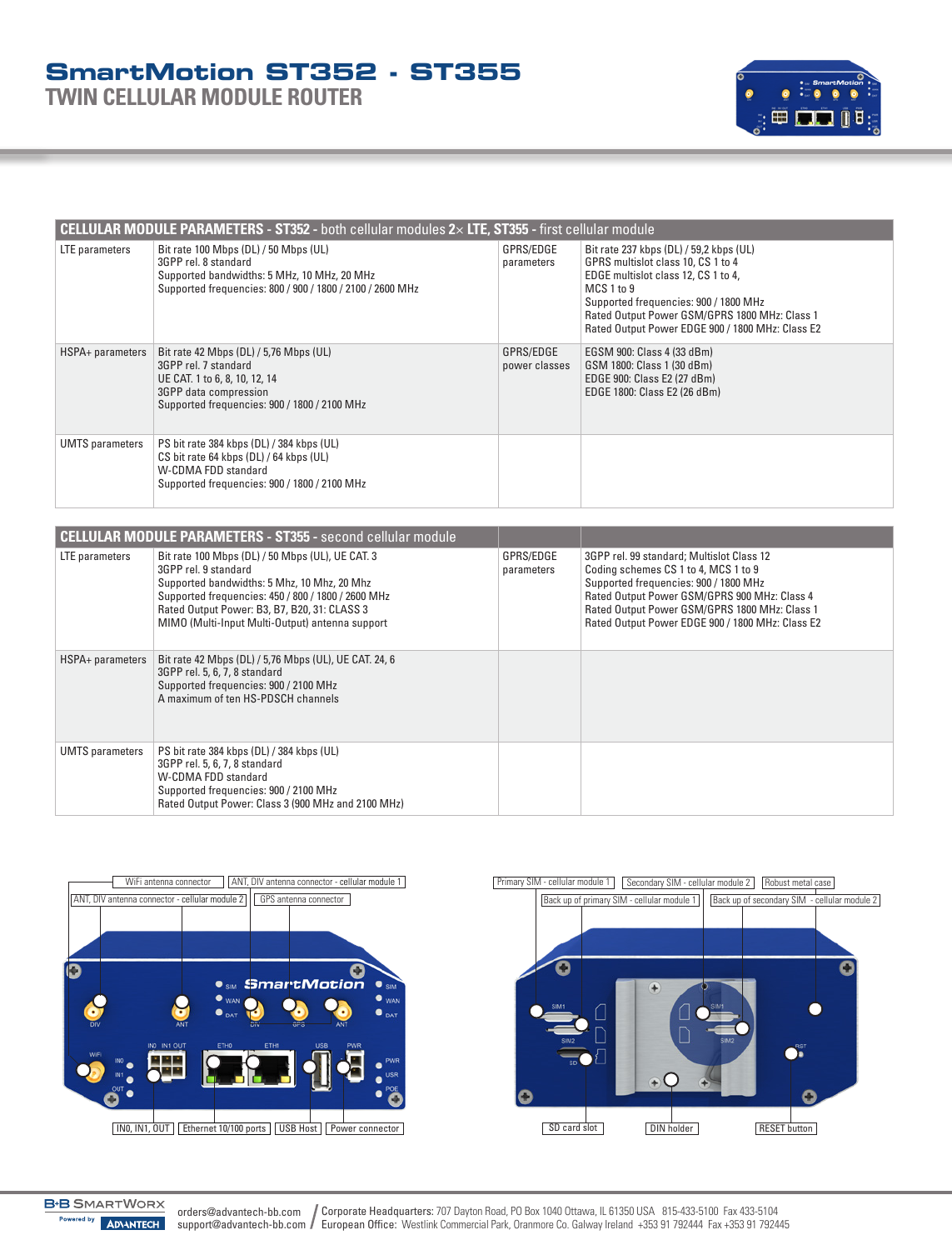**TWIN CELLULAR MODULE ROUTER**



| <b>CELLULAR MODULE PARAMETERS - ST352 - both cellular modules <math>2 \times</math> LTE, ST355 - first cellular module</b> |                                                                                                                                                                           |                            |                                                                                                                                                                                                                                                                                  |  |  |  |
|----------------------------------------------------------------------------------------------------------------------------|---------------------------------------------------------------------------------------------------------------------------------------------------------------------------|----------------------------|----------------------------------------------------------------------------------------------------------------------------------------------------------------------------------------------------------------------------------------------------------------------------------|--|--|--|
| LTE parameters                                                                                                             | Bit rate 100 Mbps (DL) / 50 Mbps (UL)<br>3GPP rel. 8 standard<br>Supported bandwidths: 5 MHz, 10 MHz, 20 MHz<br>Supported frequencies: 800 / 900 / 1800 / 2100 / 2600 MHz | GPRS/EDGE<br>parameters    | Bit rate 237 kbps (DL) / 59,2 kbps (UL)<br>GPRS multislot class 10, CS 1 to 4<br>EDGE multislot class 12, CS 1 to 4,<br>MCS 1 to 9<br>Supported frequencies: 900 / 1800 MHz<br>Rated Output Power GSM/GPRS 1800 MHz: Class 1<br>Rated Output Power EDGE 900 / 1800 MHz: Class E2 |  |  |  |
| HSPA+ parameters                                                                                                           | Bit rate 42 Mbps (DL) / 5,76 Mbps (UL)<br>3GPP rel. 7 standard<br>UE CAT. 1 to 6, 8, 10, 12, 14<br>3GPP data compression<br>Supported frequencies: 900 / 1800 / 2100 MHz  | GPRS/EDGE<br>power classes | EGSM 900: Class 4 (33 dBm)<br>GSM 1800: Class 1 (30 dBm)<br>EDGE 900: Class E2 (27 dBm)<br>EDGE 1800: Class E2 (26 dBm)                                                                                                                                                          |  |  |  |
| <b>UMTS</b> parameters                                                                                                     | PS bit rate 384 kbps (DL) / 384 kbps (UL)<br>CS bit rate 64 kbps (DL) / 64 kbps (UL)<br>W-CDMA FDD standard<br>Supported frequencies: 900 / 1800 / 2100 MHz               |                            |                                                                                                                                                                                                                                                                                  |  |  |  |

|                        | <b>CELLULAR MODULE PARAMETERS - ST355 - second cellular module</b>                                                                                                                                                                                                               |                         |                                                                                                                                                                                                                                                                                 |
|------------------------|----------------------------------------------------------------------------------------------------------------------------------------------------------------------------------------------------------------------------------------------------------------------------------|-------------------------|---------------------------------------------------------------------------------------------------------------------------------------------------------------------------------------------------------------------------------------------------------------------------------|
| LTE parameters         | Bit rate 100 Mbps (DL) / 50 Mbps (UL), UE CAT. 3<br>3GPP rel. 9 standard<br>Supported bandwidths: 5 Mhz, 10 Mhz, 20 Mhz<br>Supported frequencies: 450 / 800 / 1800 / 2600 MHz<br>Rated Output Power: B3, B7, B20, 31: CLASS 3<br>MIMO (Multi-Input Multi-Output) antenna support | GPRS/EDGE<br>parameters | 3GPP rel. 99 standard; Multislot Class 12<br>Coding schemes CS 1 to 4, MCS 1 to 9<br>Supported frequencies: 900 / 1800 MHz<br>Rated Output Power GSM/GPRS 900 MHz: Class 4<br>Rated Output Power GSM/GPRS 1800 MHz: Class 1<br>Rated Output Power EDGE 900 / 1800 MHz: Class E2 |
| HSPA+ parameters       | Bit rate 42 Mbps (DL) / 5,76 Mbps (UL), UE CAT. 24, 6<br>3GPP rel. 5, 6, 7, 8 standard<br>Supported frequencies: 900 / 2100 MHz<br>A maximum of ten HS-PDSCH channels                                                                                                            |                         |                                                                                                                                                                                                                                                                                 |
| <b>UMTS</b> parameters | PS bit rate 384 kbps (DL) / 384 kbps (UL)<br>3GPP rel. 5, 6, 7, 8 standard<br>W-CDMA FDD standard<br>Supported frequencies: 900 / 2100 MHz<br>Rated Output Power: Class 3 (900 MHz and 2100 MHz)                                                                                 |                         |                                                                                                                                                                                                                                                                                 |